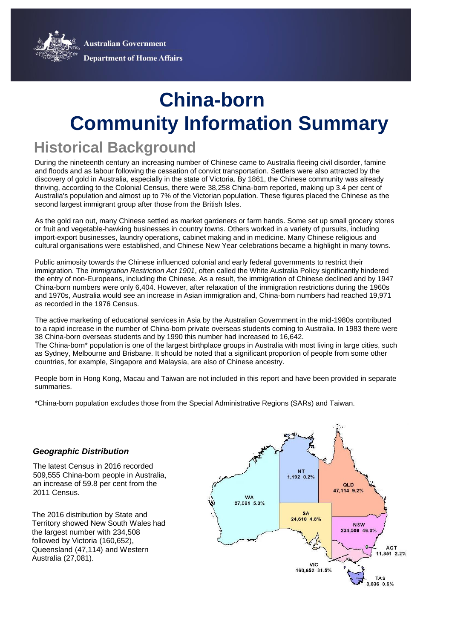**Australian Government** 



**Department of Home Affairs** 

# **Community Information Summary China-born**

# **Historical Background**

During the nineteenth century an increasing number of Chinese came to Australia fleeing civil disorder, famine and floods and as labour following the cessation of convict transportation. Settlers were also attracted by the discovery of gold in Australia, especially in the state of Victoria. By 1861, the Chinese community was already thriving, according to the Colonial Census, there were 38,258 China-born reported, making up 3.4 per cent of Australia's population and almost up to 7% of the Victorian population. These figures placed the Chinese as the second largest immigrant group after those from the British Isles.

As the gold ran out, many Chinese settled as market gardeners or farm hands. Some set up small grocery stores or fruit and vegetable-hawking businesses in country towns. Others worked in a variety of pursuits, including import-export businesses, laundry operations, cabinet making and in medicine. Many Chinese religious and cultural organisations were established, and Chinese New Year celebrations became a highlight in many towns.

Public animosity towards the Chinese influenced colonial and early federal governments to restrict their immigration. The *Immigration Restriction Act 1901*, often called the White Australia Policy significantly hindered the entry of non-Europeans, including the Chinese. As a result, the immigration of Chinese declined and by 1947 China-born numbers were only 6,404. However, after relaxation of the immigration restrictions during the 1960s and 1970s, Australia would see an increase in Asian immigration and, China-born numbers had reached 19,971 as recorded in the 1976 Census.

The active marketing of educational services in Asia by the Australian Government in the mid-1980s contributed to a rapid increase in the number of China-born private overseas students coming to Australia. In 1983 there were 38 China-born overseas students and by 1990 this number had increased to 16,642. The China-born\* population is one of the largest birthplace groups in Australia with most living in large cities, such as Sydney, Melbourne and Brisbane. It should be noted that a significant proportion of people from some other countries, for example, Singapore and Malaysia, are also of Chinese ancestry.

People born in Hong Kong, Macau and Taiwan are not included in this report and have been provided in separate summaries.

**2016 Census** \*China-born population excludes those from the Special Administrative Regions (SARs) and Taiwan.

#### *Geographic Distribution*

The latest Census in 2016 recorded 509,555 China-born people in Australia, an increase of 59.8 per cent from the 2011 Census.

The 2016 distribution by State and Territory showed New South Wales had the largest number with 234,508 followed by Victoria (160,652), Queensland (47,114) and Western Australia (27,081).

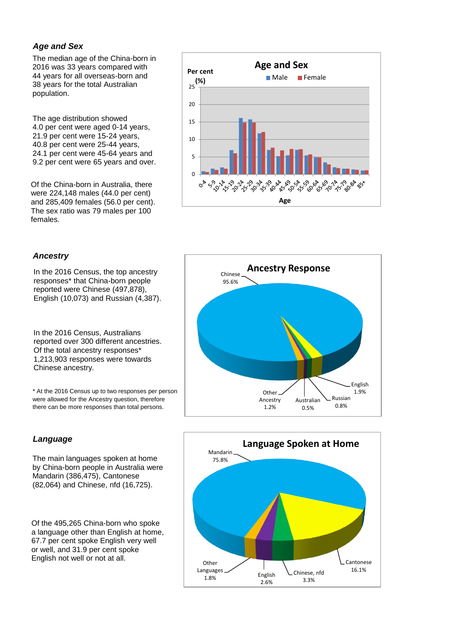### *Age and Sex*

The median age of the China-born in 2016 was 33 years compared with 44 years for all overseas-born and 38 years for the total Australian population.

The age distribution showed 4.0 per cent were aged 0-14 years, 21.9 per cent were 15-24 years, 40.8 per cent were 25-44 years, 24.1 per cent were 45-64 years and 9.2 per cent were 65 years and over.

Of the China-born in Australia, there were 224,148 males (44.0 per cent) and 285,409 females (56.0 per cent). The sex ratio was 79 males per 100 females.



#### *Ancestry*

In the 2016 Census, the top ancestry responses\* that China-born people reported were Chinese (497,878), English (10,073) and Russian (4,387).

In the 2016 Census, Australians reported over 300 different ancestries. Of the total ancestry responses\* 1,213,903 responses were towards Chinese ancestry.

\* At the 2016 Census up to two responses per person were allowed for the Ancestry question, therefore there can be more responses than total persons.

# *Language*

The main languages spoken at home by China-born people in Australia were Mandarin (386,475), Cantonese (82,064) and Chinese, nfd (16,725).

Of the 495,265 China-born who spoke a language other than English at home, 67.7 per cent spoke English very well or well, and 31.9 per cent spoke English not well or not at all.



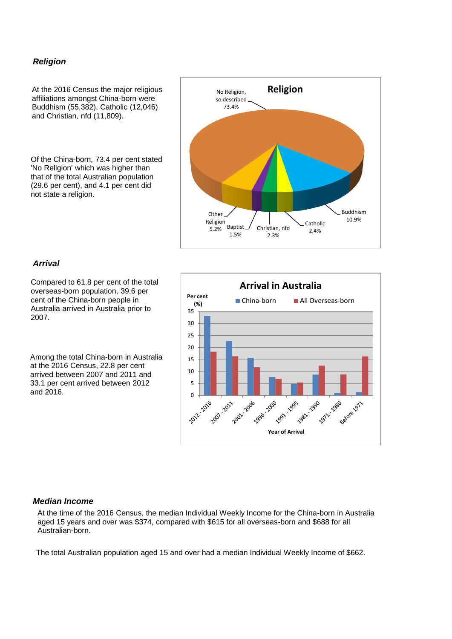#### *Religion*

At the 2016 Census the major religious affiliations amongst China-born were Buddhism (55,382), Catholic (12,046) and Christian, nfd (11,809).

Of the China-born, 73.4 per cent stated 'No Religion' which was higher than that of the total Australian population (29.6 per cent), and 4.1 per cent did not state a religion.



#### *Arrival*

Compared to 61.8 per cent of the total overseas-born population, 39.6 per cent of the China-born people in Australia arrived in Australia prior to 2007.

Among the total China-born in Australia at the 2016 Census, 22.8 per cent arrived between 2007 and 2011 and 33.1 per cent arrived between 2012 and 2016.



#### *Median Income*

At the time of the 2016 Census, the median Individual Weekly Income for the China-born in Australia aged 15 years and over was \$374, compared with \$615 for all overseas-born and \$688 for all Australian-born.

The total Australian population aged 15 and over had a median Individual Weekly Income of \$662.